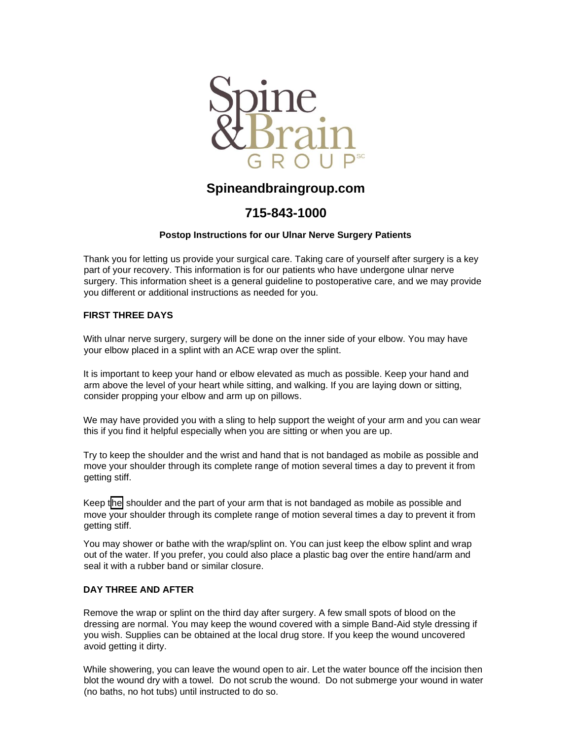

# **Spineandbraingroup.com**

# **715-843-1000**

### **Postop Instructions for our Ulnar Nerve Surgery Patients**

Thank you for letting us provide your surgical care. Taking care of yourself after surgery is a key part of your recovery. This information is for our patients who have undergone ulnar nerve surgery. This information sheet is a general guideline to postoperative care, and we may provide you different or additional instructions as needed for you.

### **FIRST THREE DAYS**

With ulnar nerve surgery, surgery will be done on the inner side of your elbow. You may have your elbow placed in a splint with an ACE wrap over the splint.

It is important to keep your hand or elbow elevated as much as possible. Keep your hand and arm above the level of your heart while sitting, and walking. If you are laying down or sitting, consider propping your elbow and arm up on pillows.

We may have provided you with a sling to help support the weight of your arm and you can wear this if you find it helpful especially when you are sitting or when you are up.

Try to keep the shoulder and the wrist and hand that is not bandaged as mobile as possible and move your shoulder through its complete range of motion several times a day to prevent it from getting stiff.

Keep the shoulder and the part of your arm that is not bandaged as mobile as possible and move your shoulder through its complete range of motion several times a day to prevent it from getting stiff.

You may shower or bathe with the wrap/splint on. You can just keep the elbow splint and wrap out of the water. If you prefer, you could also place a plastic bag over the entire hand/arm and seal it with a rubber band or similar closure.

#### **DAY THREE AND AFTER**

Remove the wrap or splint on the third day after surgery. A few small spots of blood on the dressing are normal. You may keep the wound covered with a simple Band-Aid style dressing if you wish. Supplies can be obtained at the local drug store. If you keep the wound uncovered avoid getting it dirty.

While showering, you can leave the wound open to air. Let the water bounce off the incision then blot the wound dry with a towel. Do not scrub the wound. Do not submerge your wound in water (no baths, no hot tubs) until instructed to do so.